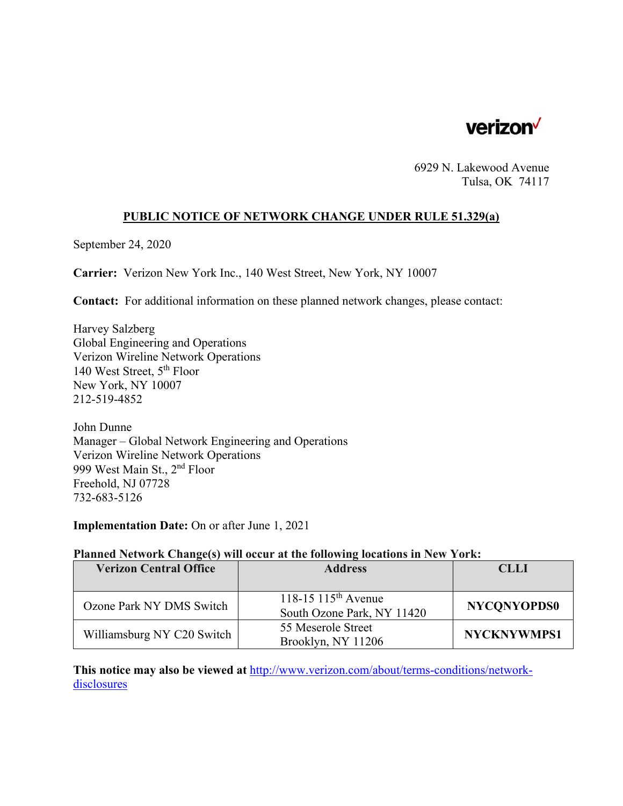

6929 N. Lakewood Avenue Tulsa, OK 74117

### **PUBLIC NOTICE OF NETWORK CHANGE UNDER RULE 51.329(a)**

September 24, 2020

**Carrier:** Verizon New York Inc., 140 West Street, New York, NY 10007

**Contact:** For additional information on these planned network changes, please contact:

Harvey Salzberg Global Engineering and Operations Verizon Wireline Network Operations 140 West Street, 5th Floor New York, NY 10007 212-519-4852

John Dunne Manager – Global Network Engineering and Operations Verizon Wireline Network Operations 999 West Main St., 2nd Floor Freehold, NJ 07728 732-683-5126

**Implementation Date:** On or after June 1, 2021

## **Planned Network Change(s) will occur at the following locations in New York:**

| <b>Verizon Central Office</b> | <b>Address</b>                                                | <b>CLLI</b>        |
|-------------------------------|---------------------------------------------------------------|--------------------|
|                               |                                                               |                    |
| Ozone Park NY DMS Switch      | 118-15 115 <sup>th</sup> Avenue<br>South Ozone Park, NY 11420 | <b>NYCONYOPDS0</b> |
| Williamsburg NY C20 Switch    | 55 Meserole Street<br>Brooklyn, NY 11206                      | <b>NYCKNYWMPS1</b> |

**This notice may also be viewed at** http://www.verizon.com/about/terms-conditions/networkdisclosures